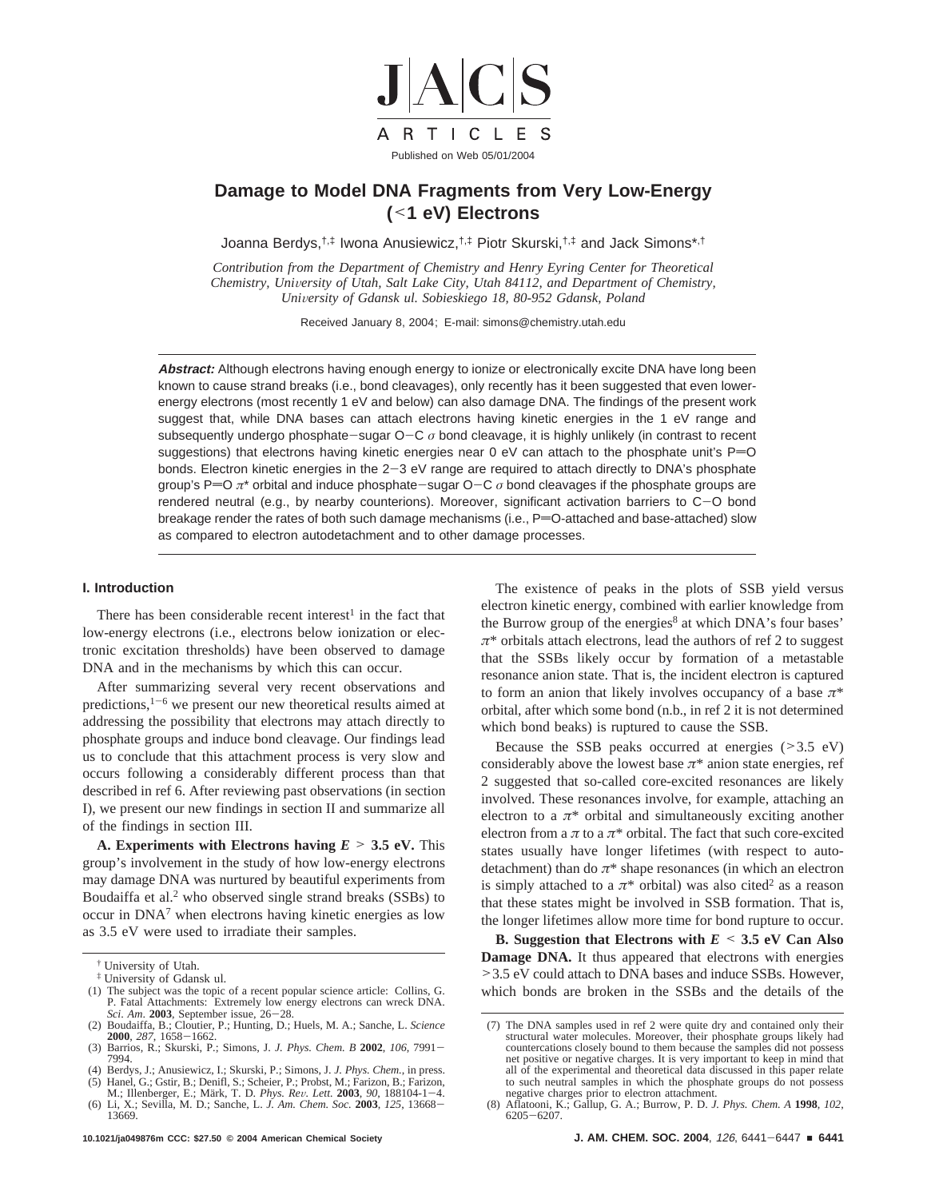

## **Damage to Model DNA Fragments from Very Low-Energy (**<**1 eV) Electrons**

Joanna Berdys,<sup>†,‡</sup> Iwona Anusiewicz,<sup>†,‡</sup> Piotr Skurski,<sup>†,‡</sup> and Jack Simons\*,<sup>†</sup>

*Contribution from the Department of Chemistry and Henry Eyring Center for Theoretical Chemistry, Uni*V*ersity of Utah, Salt Lake City, Utah 84112, and Department of Chemistry, University of Gdansk ul. Sobieskiego 18, 80-952 Gdansk, Poland* 

Received January 8, 2004; E-mail: simons@chemistry.utah.edu

**Abstract:** Although electrons having enough energy to ionize or electronically excite DNA have long been known to cause strand breaks (i.e., bond cleavages), only recently has it been suggested that even lowerenergy electrons (most recently 1 eV and below) can also damage DNA. The findings of the present work suggest that, while DNA bases can attach electrons having kinetic energies in the 1 eV range and subsequently undergo phosphate-sugar O-<sup>C</sup> *<sup>σ</sup>* bond cleavage, it is highly unlikely (in contrast to recent suggestions) that electrons having kinetic energies near 0 eV can attach to the phosphate unit's  $P=O$ bonds. Electron kinetic energies in the 2-3 eV range are required to attach directly to DNA's phosphate group's P=O  $\pi^*$  orbital and induce phosphate-sugar O-C  $\sigma$  bond cleavages if the phosphate groups are rendered neutral (e.g., by nearby counterions). Moreover, significant activation barriers to C-O bond breakage render the rates of both such damage mechanisms (i.e.,  $P=O$ -attached and base-attached) slow as compared to electron autodetachment and to other damage processes.

## **I. Introduction**

There has been considerable recent interest<sup>1</sup> in the fact that low-energy electrons (i.e., electrons below ionization or electronic excitation thresholds) have been observed to damage DNA and in the mechanisms by which this can occur.

After summarizing several very recent observations and predictions,  $1-6$  we present our new theoretical results aimed at addressing the possibility that electrons may attach directly to phosphate groups and induce bond cleavage. Our findings lead us to conclude that this attachment process is very slow and occurs following a considerably different process than that described in ref 6. After reviewing past observations (in section I), we present our new findings in section II and summarize all of the findings in section III.

**A. Experiments with Electrons having**  $E > 3.5$  **eV.** This group's involvement in the study of how low-energy electrons may damage DNA was nurtured by beautiful experiments from Boudaiffa et al.<sup>2</sup> who observed single strand breaks (SSBs) to occur in DNA7 when electrons having kinetic energies as low as 3.5 eV were used to irradiate their samples.

The existence of peaks in the plots of SSB yield versus electron kinetic energy, combined with earlier knowledge from the Burrow group of the energies<sup>8</sup> at which DNA's four bases'  $\pi^*$  orbitals attach electrons, lead the authors of ref 2 to suggest that the SSBs likely occur by formation of a metastable resonance anion state. That is, the incident electron is captured to form an anion that likely involves occupancy of a base *π*\* orbital, after which some bond (n.b., in ref 2 it is not determined which bond beaks) is ruptured to cause the SSB.

Because the SSB peaks occurred at energies  $(>3.5 \text{ eV})$ considerably above the lowest base  $\pi^*$  anion state energies, ref 2 suggested that so-called core-excited resonances are likely involved. These resonances involve, for example, attaching an electron to a  $\pi^*$  orbital and simultaneously exciting another electron from a  $\pi$  to a  $\pi^*$  orbital. The fact that such core-excited states usually have longer lifetimes (with respect to autodetachment) than do *π*\* shape resonances (in which an electron is simply attached to a  $\pi^*$  orbital) was also cited<sup>2</sup> as a reason that these states might be involved in SSB formation. That is, the longer lifetimes allow more time for bond rupture to occur.

**B. Suggestion that Electrons with** *<sup>E</sup>* < **3.5 eV Can Also Damage DNA.** It thus appeared that electrons with energies >3.5 eV could attach to DNA bases and induce SSBs. However, which bonds are broken in the SSBs and the details of the

<sup>†</sup> University of Utah.

<sup>‡</sup> University of Gdansk ul.

<sup>(1)</sup> The subject was the topic of a recent popular science article: Collins, G. P. Fatal Attachments: Extremely low energy electrons can wreck DNA. Sci. Am. 2003, September issue, 26–28. *Sci*. *Am*. **<sup>2003</sup>**, September issue, 26-28. (2) Boudaiffa, B.; Cloutier, P.; Hunting, D.; Huels, M. A.; Sanche, L. *Science*

**<sup>2000</sup>**, *<sup>287</sup>*, 1658-1662. (3) Barrios, R.; Skurski, P.; Simons, J. *J. Phys. Chem. B* **<sup>2002</sup>**, *<sup>106</sup>*, 7991- 7994.

<sup>(4)</sup> Berdys, J.; Anusiewicz, I.; Skurski, P.; Simons, J. *J. Phys. Chem.*, in press. (5) Hanel, G.; Gstir, B.; Denifl, S.; Scheier, P.; Probst, M.; Farizon, B.; Farizon, M.; Illenberger, E.; Märk, T. D. Phys. Rev. Lett. 2003, 90, 188104-1-4.

M.; Illenberger, E.; Märk, T. D. *Phys. Rev. Lett.* **2003**, *90*, 188104-1-4.<br>(6) Li, X.; Sevilla, M. D.; Sanche, L. *J. Am. Chem. Soc.* **2003**, *125*, 13668-<br>13669.

<sup>(7)</sup> The DNA samples used in ref 2 were quite dry and contained only their structural water molecules. Moreover, their phosphate groups likely had countercations closely bound to them because the samples did not possess net positive or negative charges. It is very important to keep in mind that all of the experimental and theoretical data discussed in this paper relate to such neutral samples in which the phosphate groups do not possess negative charges prior to electron attachment.

<sup>(8)</sup> Aflatooni, K.; Gallup, G. A.; Burrow, P. D. *J. Phys. Chem. A* **1998**, *102*, <sup>6205</sup>-6207.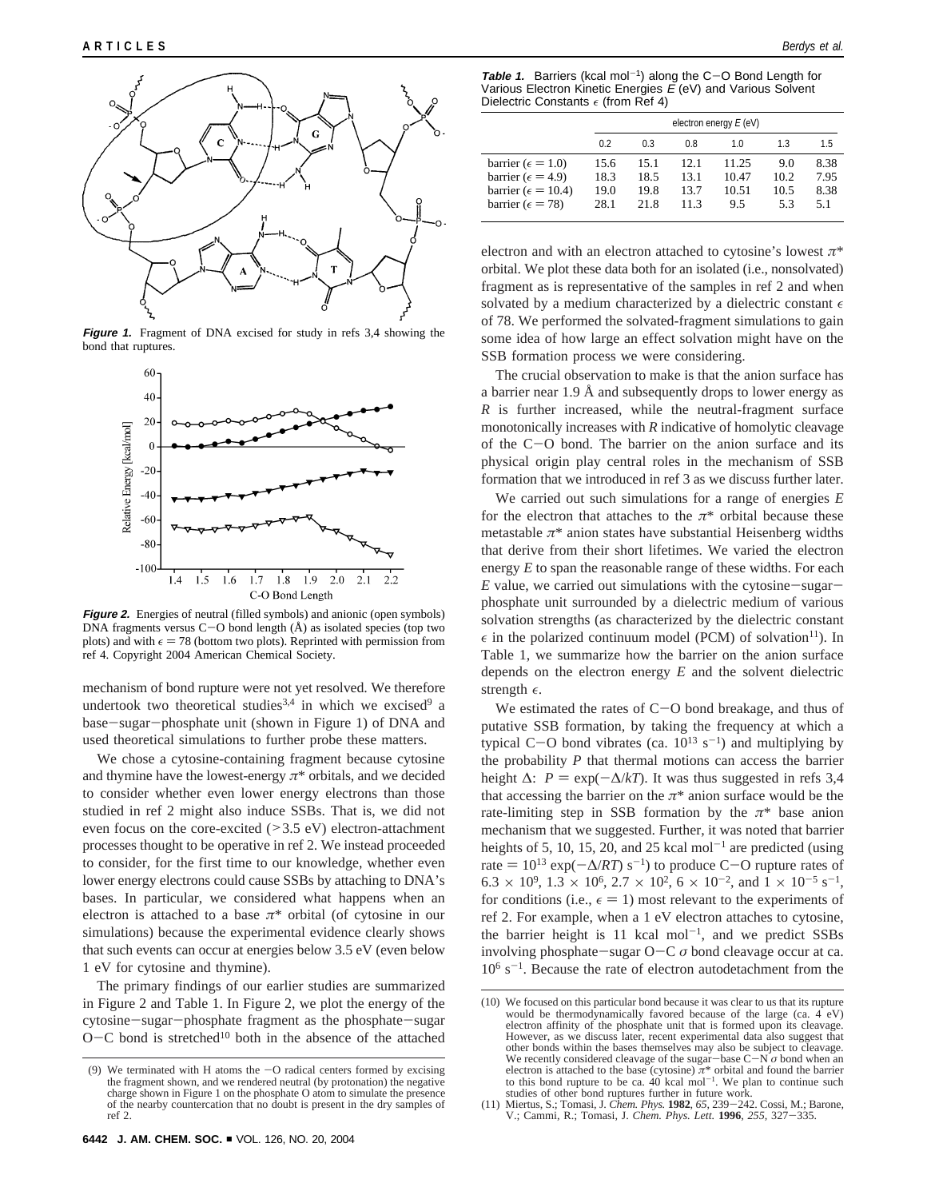

**Figure 1.** Fragment of DNA excised for study in refs 3,4 showing the bond that ruptures.



**Figure 2.** Energies of neutral (filled symbols) and anionic (open symbols) DNA fragments versus  $C-O$  bond length  $(A)$  as isolated species (top two plots) and with  $\epsilon = 78$  (bottom two plots). Reprinted with permission from ref 4. Copyright 2004 American Chemical Society.

mechanism of bond rupture were not yet resolved. We therefore undertook two theoretical studies<sup>3,4</sup> in which we excised<sup>9</sup> a base-sugar-phosphate unit (shown in Figure 1) of DNA and used theoretical simulations to further probe these matters.

We chose a cytosine-containing fragment because cytosine and thymine have the lowest-energy  $\pi^*$  orbitals, and we decided to consider whether even lower energy electrons than those studied in ref 2 might also induce SSBs. That is, we did not even focus on the core-excited (>3.5 eV) electron-attachment processes thought to be operative in ref 2. We instead proceeded to consider, for the first time to our knowledge, whether even lower energy electrons could cause SSBs by attaching to DNA's bases. In particular, we considered what happens when an electron is attached to a base  $\pi^*$  orbital (of cytosine in our simulations) because the experimental evidence clearly shows that such events can occur at energies below 3.5 eV (even below 1 eV for cytosine and thymine).

The primary findings of our earlier studies are summarized in Figure 2 and Table 1. In Figure 2, we plot the energy of the cytosine-sugar-phosphate fragment as the phosphate-sugar  $O-C$  bond is stretched<sup>10</sup> both in the absence of the attached

**Table 1.** Barriers (kcal mol-1) along the C-O Bond Length for Various Electron Kinetic Energies  $\vec{E}$  (eV) and Various Solvent Dielectric Constants  $\epsilon$  (from Ref 4)

|                                                                                                                           | electron energy $E$ (eV)     |                              |                              |                                |                            |                             |
|---------------------------------------------------------------------------------------------------------------------------|------------------------------|------------------------------|------------------------------|--------------------------------|----------------------------|-----------------------------|
|                                                                                                                           | 0.2                          | 0.3                          | 0.8                          | 10                             | 13                         | 1.5                         |
| barrier ( $\epsilon = 1.0$ )<br>barrier ( $\epsilon$ = 4.9)<br>barrier ( $\epsilon$ = 10.4)<br>barrier ( $\epsilon$ = 78) | 15.6<br>18.3<br>19.0<br>28.1 | 15.1<br>18.5<br>19.8<br>21.8 | 12.1<br>13.1<br>13.7<br>11.3 | 11.25<br>10.47<br>10.51<br>9.5 | 9.0<br>10.2<br>10.5<br>5.3 | 8.38<br>7.95<br>8.38<br>5.1 |

electron and with an electron attached to cytosine's lowest *π*\* orbital. We plot these data both for an isolated (i.e., nonsolvated) fragment as is representative of the samples in ref 2 and when solvated by a medium characterized by a dielectric constant  $\epsilon$ of 78. We performed the solvated-fragment simulations to gain some idea of how large an effect solvation might have on the SSB formation process we were considering.

The crucial observation to make is that the anion surface has a barrier near 1.9 Å and subsequently drops to lower energy as *R* is further increased, while the neutral-fragment surface monotonically increases with *R* indicative of homolytic cleavage of the C-O bond. The barrier on the anion surface and its physical origin play central roles in the mechanism of SSB formation that we introduced in ref 3 as we discuss further later.

We carried out such simulations for a range of energies *E* for the electron that attaches to the  $\pi^*$  orbital because these metastable *π*\* anion states have substantial Heisenberg widths that derive from their short lifetimes. We varied the electron energy *E* to span the reasonable range of these widths. For each  $E$  value, we carried out simulations with the cytosine-sugarphosphate unit surrounded by a dielectric medium of various solvation strengths (as characterized by the dielectric constant  $\epsilon$  in the polarized continuum model (PCM) of solvation<sup>11</sup>). In Table 1, we summarize how the barrier on the anion surface depends on the electron energy *E* and the solvent dielectric strength  $\epsilon$ .

We estimated the rates of  $C-O$  bond breakage, and thus of putative SSB formation, by taking the frequency at which a typical C-O bond vibrates (ca.  $10^{13}$  s<sup>-1</sup>) and multiplying by the probability *P* that thermal motions can access the barrier height  $\Delta$ :  $P = \exp(-\Delta/kT)$ . It was thus suggested in refs 3,4 that accessing the barrier on the  $\pi^*$  anion surface would be the rate-limiting step in SSB formation by the  $\pi^*$  base anion mechanism that we suggested. Further, it was noted that barrier heights of 5, 10, 15, 20, and 25 kcal mol<sup>-1</sup> are predicted (using rate  $= 10^{13} \exp(-\Delta/RT)$  s<sup>-1</sup>) to produce C-O rupture rates of  $6.3 \times 10^9$ ,  $1.3 \times 10^6$ ,  $2.7 \times 10^2$ ,  $6 \times 10^{-2}$ , and  $1 \times 10^{-5}$  s<sup>-1</sup>, for conditions (i.e.,  $\epsilon = 1$ ) most relevant to the experiments of ref 2. For example, when a 1 eV electron attaches to cytosine, the barrier height is 11 kcal mol<sup>-1</sup>, and we predict SSBs involving phosphate-sugar O-<sup>C</sup> *<sup>σ</sup>* bond cleavage occur at ca.  $10^6$  s<sup>-1</sup>. Because the rate of electron autodetachment from the

<sup>(9)</sup> We terminated with H atoms the -O radical centers formed by excising the fragment shown, and we rendered neutral (by protonation) the negative charge shown in Figure 1 on the phosphate O atom to simulate the presence of the nearby countercation that no doubt is present in the dry samples of ref 2.

<sup>(10)</sup> We focused on this particular bond because it was clear to us that its rupture would be thermodynamically favored because of the large (ca.  $4 \text{ }^{\circ}$ eV) electron affinity of the phosphate unit that is formed upon its cleavage. However, as we discuss later, recent experimental data also suggest that other bonds within the bases themselves may also be subject to cleavage. We recently considered cleavage of the sugar-base  $C-N\sigma$  bond when an We recently considered cleavage of the sugar-base C-N  $\sigma$  bond when an electron is attached to the base (cytosine)  $\pi^*$  orbital and found the barrier to this bond rupture to be ca. 40 kcal mol<sup>-1</sup>. We plan to continue studies of other bond ruptures further in future work.

<sup>(11)</sup> Miertus, S.; Tomasi, J. *Chem. Phys.* **<sup>1982</sup>**, *<sup>65</sup>*, 239-242. Cossi, M.; Barone, V.; Cammi, R.; Tomasi, J. *Chem. Phys. Lett.* **<sup>1996</sup>**, *<sup>255</sup>*, 327-335.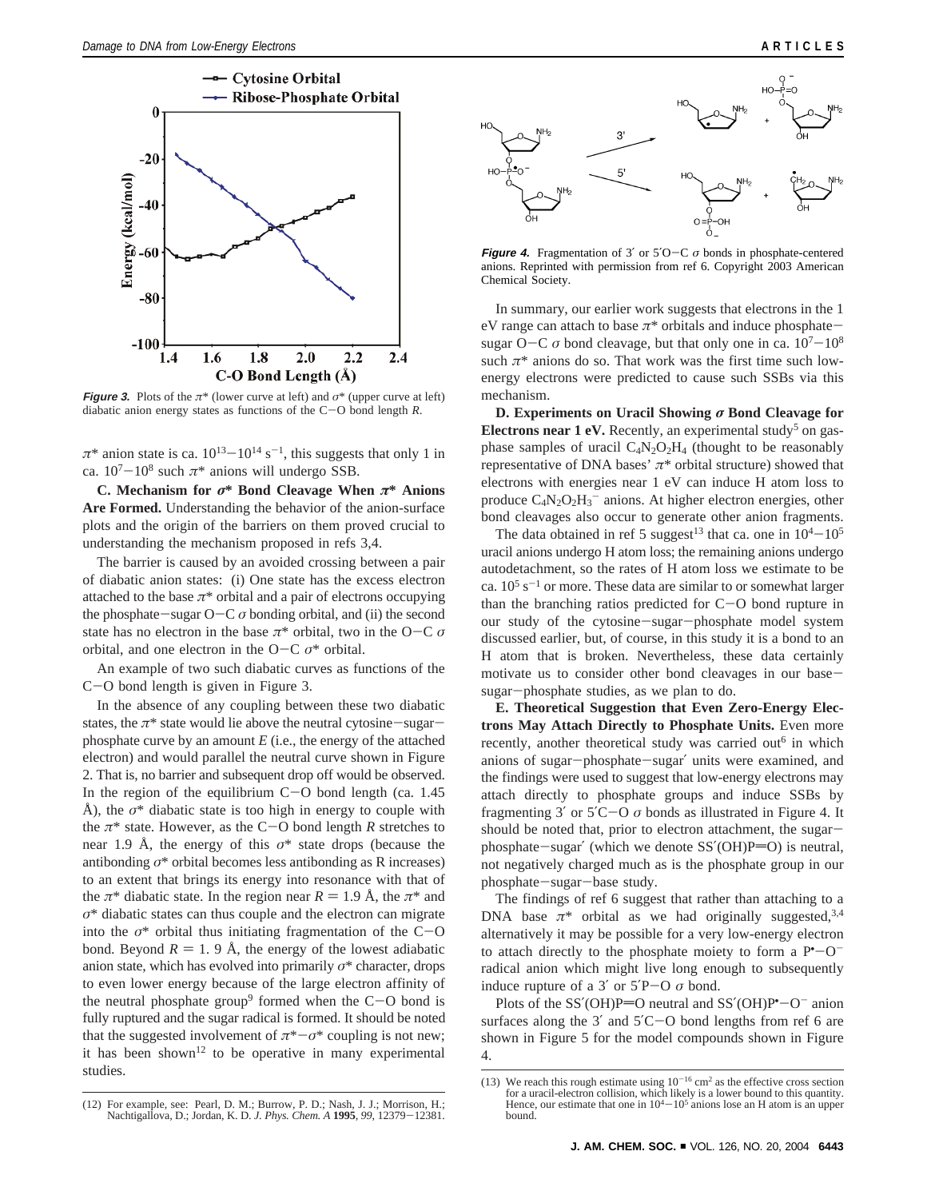

**Figure 3.** Plots of the  $\pi^*$  (lower curve at left) and  $\sigma^*$  (upper curve at left) diabatic anion energy states as functions of the C-O bond length *<sup>R</sup>*.

 $\pi^*$  anion state is ca.  $10^{13} - 10^{14}$  s<sup>-1</sup>, this suggests that only 1 in ca.  $10^7 - 10^8$  such  $\pi^*$  anions will undergo SSB.

**C. Mechanism for** *σ***\* Bond Cleavage When** *π***\* Anions Are Formed.** Understanding the behavior of the anion-surface plots and the origin of the barriers on them proved crucial to understanding the mechanism proposed in refs 3,4.

The barrier is caused by an avoided crossing between a pair of diabatic anion states: (i) One state has the excess electron attached to the base  $\pi^*$  orbital and a pair of electrons occupying the phosphate-sugar  $O-C \sigma$  bonding orbital, and (ii) the second state has no electron in the base  $\pi^*$  orbital, two in the O-C  $\sigma$ orbital, and one electron in the O-C  $\sigma^*$  orbital.

An example of two such diabatic curves as functions of the <sup>C</sup>-O bond length is given in Figure 3.

In the absence of any coupling between these two diabatic states, the  $\pi^*$  state would lie above the neutral cytosine-sugarphosphate curve by an amount *E* (i.e., the energy of the attached electron) and would parallel the neutral curve shown in Figure 2. That is, no barrier and subsequent drop off would be observed. In the region of the equilibrium  $C-O$  bond length (ca. 1.45) Å), the  $\sigma^*$  diabatic state is too high in energy to couple with the  $\pi^*$  state. However, as the C-O bond length *R* stretches to near 1.9 Å, the energy of this *σ*\* state drops (because the antibonding  $\sigma^*$  orbital becomes less antibonding as R increases) to an extent that brings its energy into resonance with that of the  $\pi^*$  diabatic state. In the region near  $R = 1.9$  Å, the  $\pi^*$  and *σ*\* diabatic states can thus couple and the electron can migrate into the  $\sigma^*$  orbital thus initiating fragmentation of the C-O bond. Beyond  $R = 1.9 \text{ Å}$ , the energy of the lowest adiabatic anion state, which has evolved into primarily  $\sigma^*$  character, drops to even lower energy because of the large electron affinity of the neutral phosphate group<sup>9</sup> formed when the  $C$ -O bond is fully ruptured and the sugar radical is formed. It should be noted that the suggested involvement of  $\pi^*$ -*σ*<sup>\*</sup> coupling is not new; it has been shown<sup>12</sup> to be operative in many experimental studies.



**Figure 4.** Fragmentation of 3' or  $5'O-C \sigma$  bonds in phosphate-centered anions. Reprinted with permission from ref 6. Copyright 2003 American Chemical Society.

In summary, our earlier work suggests that electrons in the 1 eV range can attach to base  $\pi^*$  orbitals and induce phosphatesugar O-C  $\sigma$  bond cleavage, but that only one in ca.  $10^7 - 10^8$ such  $\pi^*$  anions do so. That work was the first time such lowenergy electrons were predicted to cause such SSBs via this mechanism.

**D. Experiments on Uracil Showing** *σ* **Bond Cleavage for Electrons near 1 eV.** Recently, an experimental study<sup>5</sup> on gasphase samples of uracil  $C_4N_2O_2H_4$  (thought to be reasonably representative of DNA bases' *π*\* orbital structure) showed that electrons with energies near 1 eV can induce H atom loss to produce  $C_4N_2O_2H_3$ <sup>-</sup> anions. At higher electron energies, other bond cleavages also occur to generate other anion fragments.

The data obtained in ref 5 suggest<sup>13</sup> that ca. one in  $10^4 - 10^5$ uracil anions undergo H atom loss; the remaining anions undergo autodetachment, so the rates of H atom loss we estimate to be ca.  $10^5$  s<sup>-1</sup> or more. These data are similar to or somewhat larger than the branching ratios predicted for C-O bond rupture in our study of the cytosine-sugar-phosphate model system discussed earlier, but, of course, in this study it is a bond to an H atom that is broken. Nevertheless, these data certainly motivate us to consider other bond cleavages in our basesugar-phosphate studies, as we plan to do.

**E. Theoretical Suggestion that Even Zero-Energy Electrons May Attach Directly to Phosphate Units.** Even more recently, another theoretical study was carried out<sup>6</sup> in which anions of sugar-phosphate-sugar′ units were examined, and the findings were used to suggest that low-energy electrons may attach directly to phosphate groups and induce SSBs by fragmenting 3' or  $5'C-O \sigma$  bonds as illustrated in Figure 4. It should be noted that, prior to electron attachment, the sugarphosphate-sugar' (which we denote  $SS'(\text{OH})P=O$ ) is neutral, not negatively charged much as is the phosphate group in our phosphate-sugar-base study.

The findings of ref 6 suggest that rather than attaching to a DNA base  $\pi^*$  orbital as we had originally suggested,<sup>3,4</sup> alternatively it may be possible for a very low-energy electron to attach directly to the phosphate moiety to form a  $P^{\bullet}$ - $O^{\bullet}$ <br>radical anion which might live long enough to subsequently radical anion which might live long enough to subsequently induce rupture of a 3' or  $5'P-O \sigma$  bond.

Plots of the SS'(OH)P=O neutral and SS'(OH)P+ $-O^-$  anion<br>rfaces along the 3' and 5'C – O bond lengths from ref 6 are surfaces along the  $3'$  and  $5'$ C $-$ O bond lengths from ref 6 are shown in Figure 5 for the model compounds shown in Figure 4.

<sup>(12)</sup> For example, see: Pearl, D. M. Burrow, P. D.; Nash, J. J.; Morrison, H.; Nachtigallova, D.; Jordan, K. D. *J. Phys. Chem. A* **<sup>1995</sup>**, *<sup>99</sup>*, 12379-12381.

<sup>(13)</sup> We reach this rough estimate using  $10^{-16}$  cm<sup>2</sup> as the effective cross section for a uracil-electron collision, which likely is a lower bound to this quantity. Hence, our estimate that one in  $10^4 - 10^5$  anions lose an H atom is an upper bound.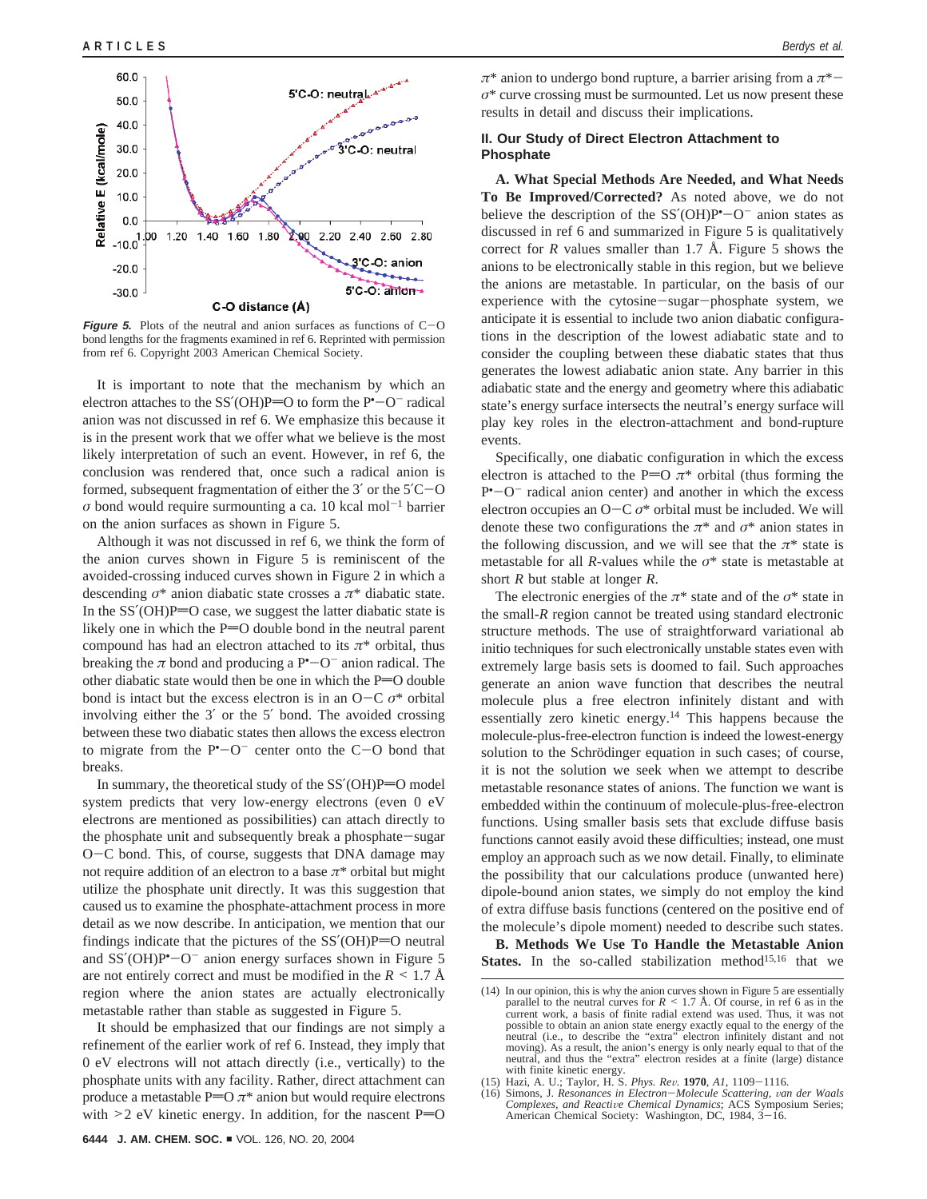

**Figure 5.** Plots of the neutral and anion surfaces as functions of  $C-O$ bond lengths for the fragments examined in ref 6. Reprinted with permission from ref 6. Copyright 2003 American Chemical Society.

It is important to note that the mechanism by which an electron attaches to the  $SS'(OH)P=O$  to form the  $P<sup>*</sup>-O<sup>-</sup>$  radical<br>anion was not discussed in ref. 6. We emphasize this because it anion was not discussed in ref 6. We emphasize this because it is in the present work that we offer what we believe is the most likely interpretation of such an event. However, in ref 6, the conclusion was rendered that, once such a radical anion is formed, subsequent fragmentation of either the 3′ or the 5′C-<sup>O</sup>  $\sigma$  bond would require surmounting a ca. 10 kcal mol<sup>-1</sup> barrier on the anion surfaces as shown in Figure 5.

Although it was not discussed in ref 6, we think the form of the anion curves shown in Figure 5 is reminiscent of the avoided-crossing induced curves shown in Figure 2 in which a descending *σ*\* anion diabatic state crosses a *π*\* diabatic state. In the  $SS'(\text{OH})P=O$  case, we suggest the latter diabatic state is likely one in which the  $P=O$  double bond in the neutral parent compound has had an electron attached to its  $\pi^*$  orbital, thus breaking the  $\pi$  bond and producing a  $P^{\bullet}-O^{-}$  anion radical. The other dispatic state would then be one in which the  $P=O$  double other diabatic state would then be one in which the  $P=O$  double bond is intact but the excess electron is in an  $O-C \sigma^*$  orbital involving either the 3′ or the 5′ bond. The avoided crossing between these two diabatic states then allows the excess electron to migrate from the  $P^{\bullet}$ -O<sup>-</sup> center onto the C-O bond that hreaks breaks.

In summary, the theoretical study of the  $SS'(\text{OH})P=O$  model system predicts that very low-energy electrons (even 0 eV electrons are mentioned as possibilities) can attach directly to the phosphate unit and subsequently break a phosphate-sugar <sup>O</sup>-C bond. This, of course, suggests that DNA damage may not require addition of an electron to a base  $\pi^*$  orbital but might utilize the phosphate unit directly. It was this suggestion that caused us to examine the phosphate-attachment process in more detail as we now describe. In anticipation, we mention that our findings indicate that the pictures of the  $SS'(\text{OH})P=O$  neutral and SS'(OH)P<sup>\*</sup> $-0^-$  anion energy surfaces shown in Figure 5<br>are not entirely correct and must be modified in the  $R \le 1.7 \text{ Å}$ are not entirely correct and must be modified in the  $R \leq 1.7$  Å region where the anion states are actually electronically metastable rather than stable as suggested in Figure 5.

It should be emphasized that our findings are not simply a refinement of the earlier work of ref 6. Instead, they imply that 0 eV electrons will not attach directly (i.e., vertically) to the phosphate units with any facility. Rather, direct attachment can produce a metastable  $P=O \pi^*$  anion but would require electrons with  $\geq$  2 eV kinetic energy. In addition, for the nascent P=O *<sup>π</sup>*\* anion to undergo bond rupture, a barrier arising from a *<sup>π</sup>*\* *σ*\* curve crossing must be surmounted. Let us now present these results in detail and discuss their implications.

## **II. Our Study of Direct Electron Attachment to Phosphate**

**A. What Special Methods Are Needed, and What Needs To Be Improved/Corrected?** As noted above, we do not believe the description of the  $SS'(OH)P^{\bullet}-O^{-}$  anion states as<br>discussed in ref 6 and summarized in Figure 5 is qualitatively discussed in ref 6 and summarized in Figure 5 is qualitatively correct for  $R$  values smaller than 1.7 Å. Figure 5 shows the anions to be electronically stable in this region, but we believe the anions are metastable. In particular, on the basis of our experience with the cytosine-sugar-phosphate system, we anticipate it is essential to include two anion diabatic configurations in the description of the lowest adiabatic state and to consider the coupling between these diabatic states that thus generates the lowest adiabatic anion state. Any barrier in this adiabatic state and the energy and geometry where this adiabatic state's energy surface intersects the neutral's energy surface will play key roles in the electron-attachment and bond-rupture events.

Specifically, one diabatic configuration in which the excess electron is attached to the P=O  $\pi^*$  orbital (thus forming the  $P^{\bullet}$  -O<sup>-</sup> radical anion center) and another in which the excess<br>electron occupies an O-C  $\sigma^*$  orbital must be included. We will electron occupies an  $O-C \sigma^*$  orbital must be included. We will denote these two configurations the  $\pi^*$  and  $\sigma^*$  anion states in the following discussion, and we will see that the  $\pi^*$  state is metastable for all *R*-values while the *σ*\* state is metastable at short *R* but stable at longer *R*.

The electronic energies of the  $\pi^*$  state and of the  $\sigma^*$  state in the small-*R* region cannot be treated using standard electronic structure methods. The use of straightforward variational ab initio techniques for such electronically unstable states even with extremely large basis sets is doomed to fail. Such approaches generate an anion wave function that describes the neutral molecule plus a free electron infinitely distant and with essentially zero kinetic energy.14 This happens because the molecule-plus-free-electron function is indeed the lowest-energy solution to the Schrödinger equation in such cases; of course, it is not the solution we seek when we attempt to describe metastable resonance states of anions. The function we want is embedded within the continuum of molecule-plus-free-electron functions. Using smaller basis sets that exclude diffuse basis functions cannot easily avoid these difficulties; instead, one must employ an approach such as we now detail. Finally, to eliminate the possibility that our calculations produce (unwanted here) dipole-bound anion states, we simply do not employ the kind of extra diffuse basis functions (centered on the positive end of the molecule's dipole moment) needed to describe such states.

**B. Methods We Use To Handle the Metastable Anion** States. In the so-called stabilization method<sup>15,16</sup> that we

<sup>(14)</sup> In our opinion, this is why the anion curves shown in Figure 5 are essentially parallel to the neutral curves for  $R \le 1.7$  Å. Of course, in ref 6 as in the current work, a basis of finite radial extend was used. Thus, it was not possible to obtain an anion state energy exactly equal to the energy of the neutral (i.e., to describe the "extra" electron infinitely distant and not moving). As a result, the anion's energy is only nearly equal to that of the neutral, and thus the "extra" electron resides at a finite (large) distance with finite kinetic energy.

<sup>(15)</sup> Hazi, A. U.; Taylor, H. S. *Phys. Re*V*.* **<sup>1970</sup>**, *A1*, 1109-1116. (16) Simons, J. *Resonances in Electron*-*Molecule Scattering,* V*an der Waals Complexes, and Reacti*V*e Chemical Dynamics*; ACS Symposium Series; American Chemical Society: Washington, DC, 1984, 3-16.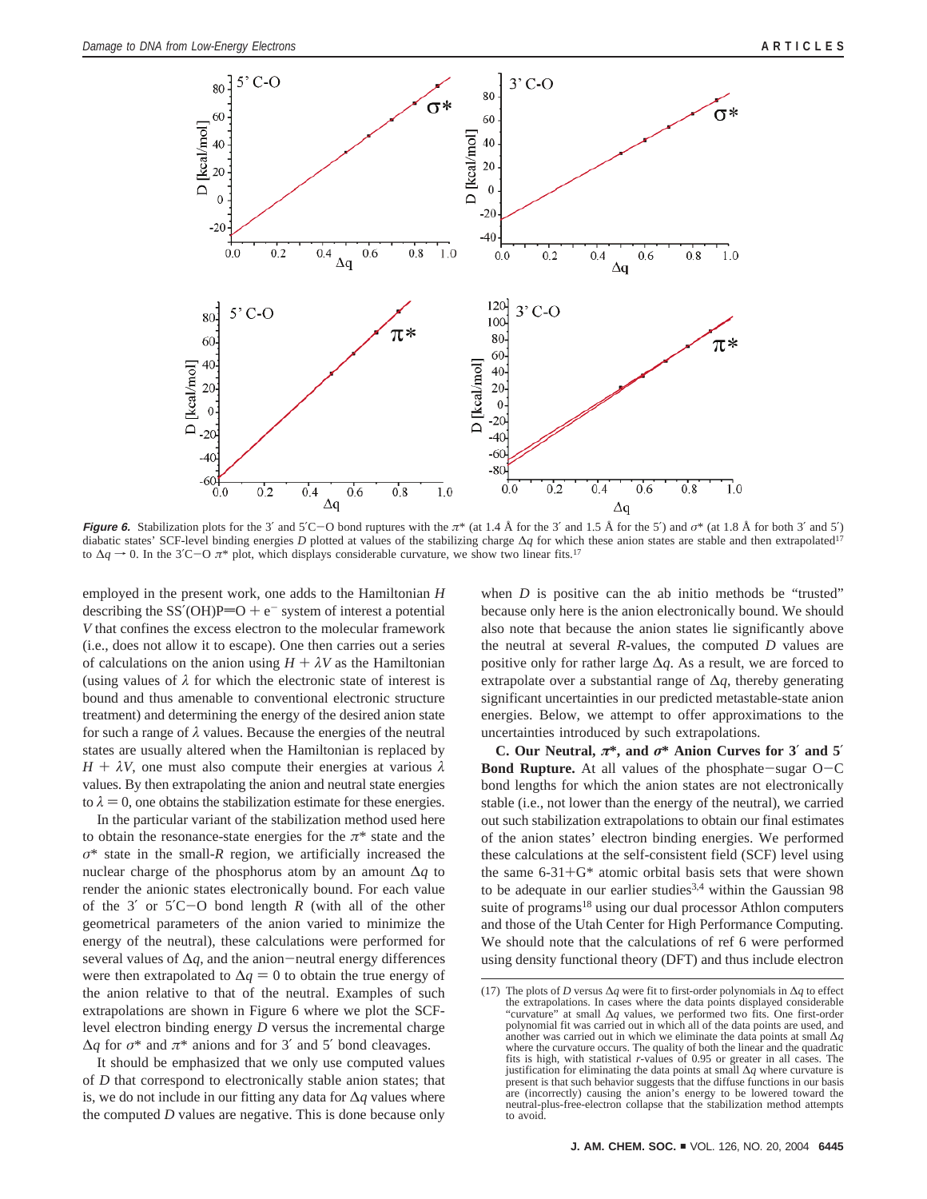

**Figure** 6. Stabilization plots for the 3' and 5'C-O bond ruptures with the  $\pi^*$  (at 1.4 Å for the 3' and 1.5 Å for the 5') and  $\sigma^*$  (at 1.8 Å for both 3' and 5') diabatic states' SCF-level binding energies *D* plotted at values of the stabilizing charge ∆*q* for which these anion states are stable and then extrapolated17 to  $\Delta q \rightarrow 0$ . In the 3<sup>′</sup>C−O  $\pi$ <sup>\*</sup> plot, which displays considerable curvature, we show two linear fits.<sup>17</sup>

employed in the present work, one adds to the Hamiltonian *H* describing the SS'(OH)P=O +  $e^-$  system of interest a potential *V* that confines the excess electron to the molecular framework (i.e., does not allow it to escape). One then carries out a series of calculations on the anion using  $H + \lambda V$  as the Hamiltonian (using values of  $\lambda$  for which the electronic state of interest is bound and thus amenable to conventional electronic structure treatment) and determining the energy of the desired anion state for such a range of *λ* values. Because the energies of the neutral states are usually altered when the Hamiltonian is replaced by *<sup>H</sup>* + *<sup>λ</sup>V*, one must also compute their energies at various *<sup>λ</sup>* values. By then extrapolating the anion and neutral state energies to  $\lambda = 0$ , one obtains the stabilization estimate for these energies.

In the particular variant of the stabilization method used here to obtain the resonance-state energies for the *π*\* state and the *σ*\* state in the small-*R* region, we artificially increased the nuclear charge of the phosphorus atom by an amount ∆*q* to render the anionic states electronically bound. For each value of the 3′ or 5′C-O bond length *<sup>R</sup>* (with all of the other geometrical parameters of the anion varied to minimize the energy of the neutral), these calculations were performed for several values of <sup>∆</sup>*q*, and the anion-neutral energy differences were then extrapolated to  $\Delta q = 0$  to obtain the true energy of the anion relative to that of the neutral. Examples of such extrapolations are shown in Figure 6 where we plot the SCFlevel electron binding energy *D* versus the incremental charge  $\Delta q$  for  $\sigma^*$  and  $\pi^*$  anions and for 3' and 5' bond cleavages.

It should be emphasized that we only use computed values of *D* that correspond to electronically stable anion states; that is, we do not include in our fitting any data for ∆*q* values where the computed *D* values are negative. This is done because only

when *D* is positive can the ab initio methods be "trusted" because only here is the anion electronically bound. We should also note that because the anion states lie significantly above the neutral at several *R*-values, the computed *D* values are positive only for rather large ∆*q*. As a result, we are forced to extrapolate over a substantial range of ∆*q*, thereby generating significant uncertainties in our predicted metastable-state anion energies. Below, we attempt to offer approximations to the uncertainties introduced by such extrapolations.

**C. Our Neutral,** *π***\*, and** *σ***\* Anion Curves for 3**′ **and 5**′ **Bond Rupture.** At all values of the phosphate-sugar O-<sup>C</sup> bond lengths for which the anion states are not electronically stable (i.e., not lower than the energy of the neutral), we carried out such stabilization extrapolations to obtain our final estimates of the anion states' electron binding energies. We performed these calculations at the self-consistent field (SCF) level using the same 6-31+G\* atomic orbital basis sets that were shown to be adequate in our earlier studies<sup>3,4</sup> within the Gaussian 98 suite of programs<sup>18</sup> using our dual processor Athlon computers and those of the Utah Center for High Performance Computing. We should note that the calculations of ref 6 were performed using density functional theory (DFT) and thus include electron

<sup>(17)</sup> The plots of *D* versus ∆*q* were fit to first-order polynomials in ∆*q* to effect the extrapolations. In cases where the data points displayed considerable "curvature" at small ∆*q* values, we performed two fits. One first-order polynomial fit was carried out in which all of the data points are used, and another was carried out in which we eliminate the data points at small ∆*q* where the curvature occurs. The quality of both the linear and the quadratic fits is high, with statistical *r*-values of 0.95 or greater in all cases. The justification for eliminating the data points at small ∆*q* where curvature is present is that such behavior suggests that the diffuse functions in our basis are (incorrectly) causing the anion's energy to be lowered toward the neutral-plus-free-electron collapse that the stabilization method attempts to avoid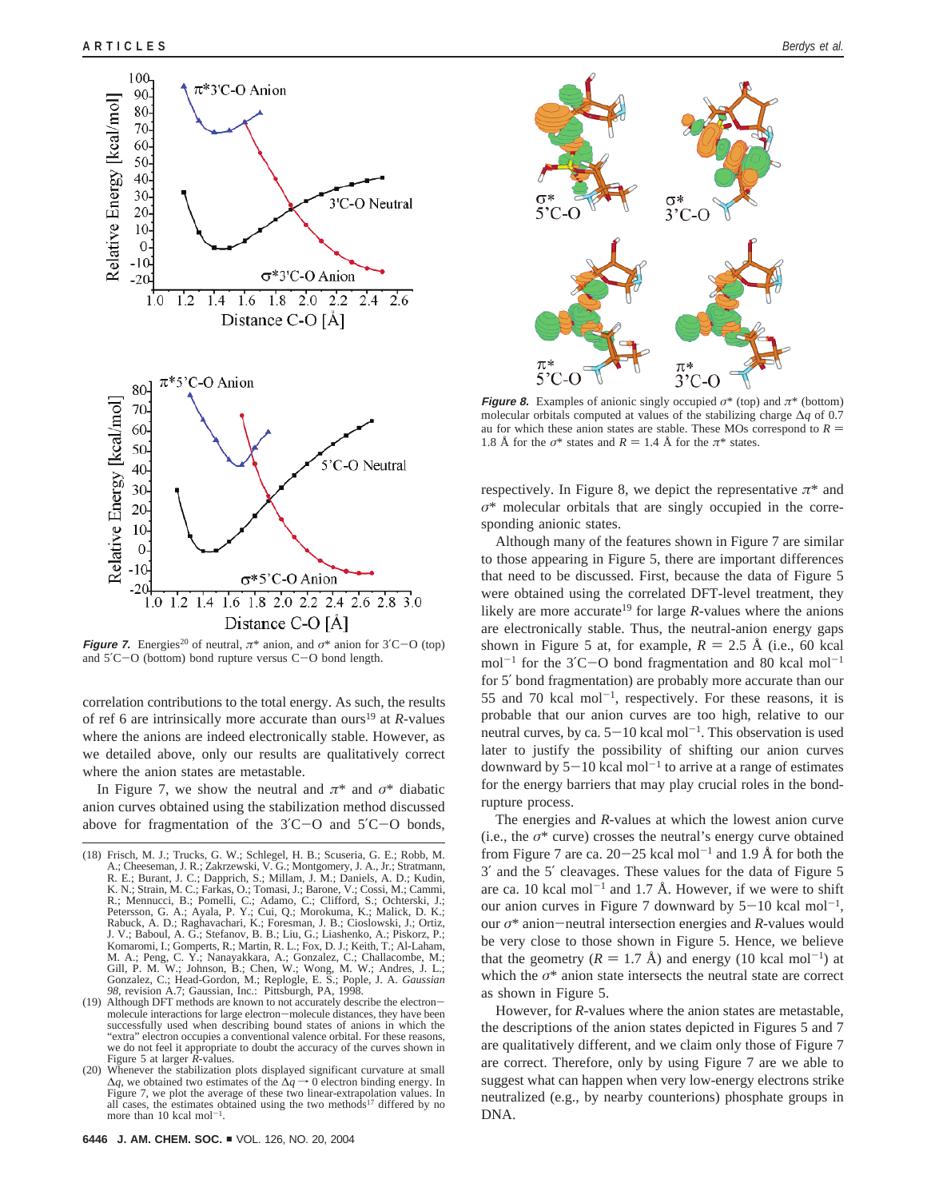

**Figure 7.** Energies<sup>20</sup> of neutral,  $\pi^*$  anion, and  $\sigma^*$  anion for 3<sup>'</sup>C-O (top) and 5′C-O (bottom) bond rupture versus C-O bond length.

correlation contributions to the total energy. As such, the results of ref 6 are intrinsically more accurate than ours<sup>19</sup> at *R*-values where the anions are indeed electronically stable. However, as we detailed above, only our results are qualitatively correct where the anion states are metastable.

In Figure 7, we show the neutral and  $\pi^*$  and  $\sigma^*$  diabatic anion curves obtained using the stabilization method discussed above for fragmentation of the 3′C-O and 5′C-O bonds,



**Figure 8.** Examples of anionic singly occupied  $\sigma^*$  (top) and  $\pi^*$  (bottom) molecular orbitals computed at values of the stabilizing charge ∆*q* of 0.7 au for which these anion states are stable. These MOs correspond to  $R =$ 1.8 Å for the  $\sigma^*$  states and  $R = 1.4$  Å for the  $\pi^*$  states.

respectively. In Figure 8, we depict the representative  $\pi^*$  and *σ*\* molecular orbitals that are singly occupied in the corresponding anionic states.

Although many of the features shown in Figure 7 are similar to those appearing in Figure 5, there are important differences that need to be discussed. First, because the data of Figure 5 were obtained using the correlated DFT-level treatment, they likely are more accurate<sup>19</sup> for large *-values where the anions* are electronically stable. Thus, the neutral-anion energy gaps shown in Figure 5 at, for example,  $R = 2.5 \text{ Å}$  (i.e., 60 kcal) mol<sup>-1</sup> for the  $3'$ C-O bond fragmentation and 80 kcal mol<sup>-1</sup> for 5′ bond fragmentation) are probably more accurate than our 55 and 70 kcal mol<sup>-1</sup>, respectively. For these reasons, it is probable that our anion curves are too high, relative to our neutral curves, by ca.  $5-10$  kcal mol<sup>-1</sup>. This observation is used later to justify the possibility of shifting our anion curves downward by  $5-10$  kcal mol<sup>-1</sup> to arrive at a range of estimates for the energy barriers that may play crucial roles in the bondrupture process.

The energies and *R*-values at which the lowest anion curve (i.e., the  $\sigma^*$  curve) crosses the neutral's energy curve obtained from Figure 7 are ca.  $20-25$  kcal mol<sup>-1</sup> and 1.9 Å for both the 3′ and the 5′ cleavages. These values for the data of Figure 5 are ca. 10 kcal mol<sup>-1</sup> and 1.7 Å. However, if we were to shift our anion curves in Figure 7 downward by  $5-10$  kcal mol<sup>-1</sup>, our *<sup>σ</sup>*\* anion-neutral intersection energies and *<sup>R</sup>*-values would be very close to those shown in Figure 5. Hence, we believe that the geometry  $(R = 1.7 \text{ Å})$  and energy (10 kcal mol<sup>-1</sup>) at which the  $\sigma^*$  anion state intersects the neutral state are correct as shown in Figure 5.

However, for *R*-values where the anion states are metastable, the descriptions of the anion states depicted in Figures 5 and 7 are qualitatively different, and we claim only those of Figure 7 are correct. Therefore, only by using Figure 7 are we able to suggest what can happen when very low-energy electrons strike neutralized (e.g., by nearby counterions) phosphate groups in DNA.

<sup>(18)</sup> Frisch, M. J.; Trucks, G. W.; Schlegel, H. B.; Scuseria, G. E.; Robb, M. A.; Cheeseman, J. R.; Zakrzewski, V. G.; Montgomery, J. A., Jr.; Stratmann, R. E.; Burant, J. C.; Dapprich, S.; Millam, J. M.; Daniels, A. D.; Kudin, K. N.; Strain, M. C.; Farkas, O.; Tomasi, J.; Barone, V.; Cossi, M.; Cammi, J.; R.; Mennucci, B.; Ponelli, C.; Adamo, C.; Clifford, S.; Ochterski, J Rabuck, A. D.; Raghavachari, K.; Foresman, J. B.; Cioslowski, J.; Ortiz, J. V.; Baboul, A. G.; Stefanov, B. B.; Liu, G.; Liashenko, A.; Piskorz, P.; Komaromi, I.; Gomperts, R.; Martin, R. L.; Fox, D. J.; Keith, T.; Al-Laham, M. A.; Peng, C. Y.; Nanayakkara, A.; Gonzalez, C.; Challacombe, M.; Gill, P. M. W.; Johnson, B.; Chen, W.; Chenz, J. L.;<br>Gill, P. M. W.; Johnson, *98*, revision A.7; Gaussian, Inc.: Pittsburgh, PA, 1998.

molecule interactions for large electron-molecule distances, they have been successfully used when describing bound states of anions in which the "extra" electron occupies a conventional valence orbital. For these reasons, we do not feel it appropriate to doubt the accuracy of the curves shown in Figure 5 at larger *R*-values.

<sup>(20)</sup> Whenever the stabilization plots displayed significant curvature at small  $\Delta q$ , we obtained two estimates of the  $\Delta q \rightarrow 0$  electron binding energy. In Figure 7, we plot the average of these two linear-extrapolation values. In all cases, the estimates obtained using the two methods<sup>17</sup> differed by no more than 10 kcal mol<sup>-1</sup>